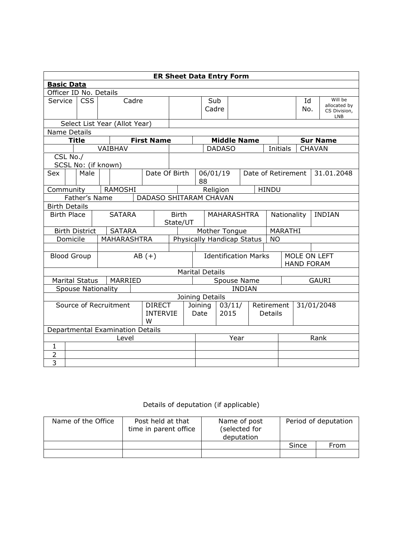|                                                                                   | <b>ER Sheet Data Entry Form</b>         |                           |  |                                  |  |                   |                                     |                                                |                        |               |           |                    |                                   |                                                       |         |                 |  |              |
|-----------------------------------------------------------------------------------|-----------------------------------------|---------------------------|--|----------------------------------|--|-------------------|-------------------------------------|------------------------------------------------|------------------------|---------------|-----------|--------------------|-----------------------------------|-------------------------------------------------------|---------|-----------------|--|--------------|
| <b>Basic Data</b>                                                                 |                                         |                           |  |                                  |  |                   |                                     |                                                |                        |               |           |                    |                                   |                                                       |         |                 |  |              |
|                                                                                   |                                         | Officer ID No. Details    |  |                                  |  |                   |                                     |                                                |                        |               |           |                    |                                   |                                                       |         |                 |  |              |
| Service                                                                           | <b>CSS</b><br>Cadre                     |                           |  |                                  |  | Sub<br>Cadre      |                                     |                                                |                        |               | Id<br>No. |                    |                                   | Will be<br>allocated by<br>CS Division,<br><b>LNB</b> |         |                 |  |              |
|                                                                                   |                                         |                           |  | Select List Year (Allot Year)    |  |                   |                                     |                                                |                        |               |           |                    |                                   |                                                       |         |                 |  |              |
| Name Details                                                                      |                                         |                           |  |                                  |  |                   |                                     |                                                |                        |               |           |                    |                                   |                                                       |         |                 |  |              |
|                                                                                   | <b>Title</b>                            |                           |  |                                  |  | <b>First Name</b> |                                     | <b>Middle Name</b>                             |                        |               |           |                    |                                   |                                                       |         | <b>Sur Name</b> |  |              |
|                                                                                   |                                         |                           |  | VAIBHAV                          |  |                   |                                     |                                                |                        | <b>DADASO</b> |           |                    |                                   | Initials                                              |         | <b>CHAVAN</b>   |  |              |
|                                                                                   | CSL No./                                |                           |  |                                  |  |                   |                                     |                                                |                        |               |           |                    |                                   |                                                       |         |                 |  |              |
|                                                                                   |                                         | SCSL No: (if known)       |  |                                  |  |                   |                                     |                                                |                        |               |           |                    |                                   |                                                       |         |                 |  |              |
| Sex                                                                               |                                         | Male                      |  |                                  |  | Date Of Birth     |                                     |                                                | 88                     | 06/01/19      |           | Date of Retirement |                                   |                                                       |         |                 |  | 31.01.2048   |
| Community                                                                         |                                         |                           |  | RAMOSHI                          |  |                   |                                     |                                                |                        | Religion      |           |                    | <b>HINDU</b>                      |                                                       |         |                 |  |              |
|                                                                                   | Father's Name<br>DADASO SHITARAM CHAVAN |                           |  |                                  |  |                   |                                     |                                                |                        |               |           |                    |                                   |                                                       |         |                 |  |              |
|                                                                                   | <b>Birth Details</b>                    |                           |  |                                  |  |                   |                                     |                                                |                        |               |           |                    |                                   |                                                       |         |                 |  |              |
| <b>Birth Place</b>                                                                |                                         |                           |  | <b>SATARA</b>                    |  |                   |                                     | <b>Birth</b><br><b>MAHARASHTRA</b><br>State/UT |                        |               |           |                    |                                   | Nationality<br><b>INDIAN</b>                          |         |                 |  |              |
|                                                                                   |                                         | <b>Birth District</b>     |  | <b>SATARA</b>                    |  |                   |                                     |                                                | Mother Tongue          |               |           |                    |                                   |                                                       | MARATHI |                 |  |              |
|                                                                                   | Domicile                                |                           |  | <b>MAHARASHTRA</b>               |  |                   |                                     | Physically Handicap Status<br><b>NO</b>        |                        |               |           |                    |                                   |                                                       |         |                 |  |              |
|                                                                                   |                                         |                           |  |                                  |  |                   |                                     |                                                |                        |               |           |                    |                                   |                                                       |         |                 |  |              |
| <b>Blood Group</b>                                                                |                                         |                           |  |                                  |  | $AB (+)$          | <b>Identification Marks</b>         |                                                |                        |               |           |                    | MOLE ON LEFT<br><b>HAND FORAM</b> |                                                       |         |                 |  |              |
|                                                                                   |                                         |                           |  |                                  |  |                   |                                     |                                                | <b>Marital Details</b> |               |           |                    |                                   |                                                       |         |                 |  |              |
|                                                                                   |                                         | <b>Marital Status</b>     |  | MARRIED                          |  |                   |                                     |                                                |                        |               |           | Spouse Name        |                                   |                                                       |         |                 |  | <b>GAURI</b> |
|                                                                                   |                                         | <b>Spouse Nationality</b> |  |                                  |  |                   |                                     |                                                |                        |               |           | <b>INDIAN</b>      |                                   |                                                       |         |                 |  |              |
|                                                                                   |                                         |                           |  |                                  |  |                   |                                     |                                                | Joining Details        |               |           |                    |                                   |                                                       |         |                 |  |              |
| Source of Recruitment<br><b>DIRECT</b><br>Joining<br><b>INTERVIE</b><br>Date<br>w |                                         |                           |  |                                  |  | 03/11/<br>2015    | Retirement<br>31/01/2048<br>Details |                                                |                        |               |           |                    |                                   |                                                       |         |                 |  |              |
|                                                                                   |                                         |                           |  | Departmental Examination Details |  |                   |                                     |                                                |                        |               |           |                    |                                   |                                                       |         |                 |  |              |
| Level                                                                             |                                         |                           |  |                                  |  |                   |                                     |                                                | Year                   |               |           |                    | Rank                              |                                                       |         |                 |  |              |
| $\mathbf{1}$                                                                      |                                         |                           |  |                                  |  |                   |                                     |                                                |                        |               |           |                    |                                   |                                                       |         |                 |  |              |
| $\overline{2}$                                                                    |                                         |                           |  |                                  |  |                   |                                     |                                                |                        |               |           |                    |                                   |                                                       |         |                 |  |              |
| $\overline{3}$                                                                    |                                         |                           |  |                                  |  |                   |                                     |                                                |                        |               |           |                    |                                   |                                                       |         |                 |  |              |

## Details of deputation (if applicable)

| Name of the Office | Post held at that<br>time in parent office | Name of post<br>(selected for<br>deputation | Period of deputation |      |  |  |
|--------------------|--------------------------------------------|---------------------------------------------|----------------------|------|--|--|
|                    |                                            |                                             | Since                | From |  |  |
|                    |                                            |                                             |                      |      |  |  |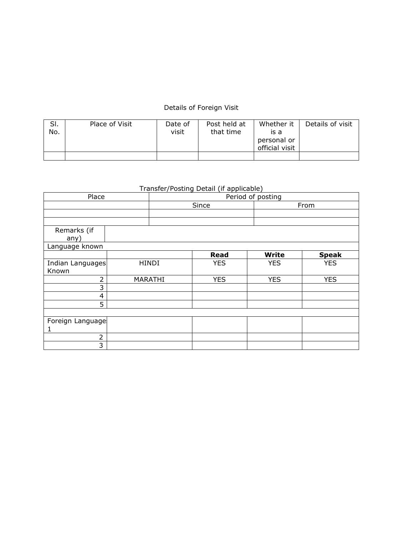## Details of Foreign Visit

| SI.<br>No. | Place of Visit | Date of<br>visit | Post held at<br>that time | Whether it<br>is a<br>personal or<br>official visit | Details of visit |
|------------|----------------|------------------|---------------------------|-----------------------------------------------------|------------------|
|            |                |                  |                           |                                                     |                  |

## Transfer/Posting Detail (if applicable)

| Place            |  | Period of posting |             |              |              |  |  |  |  |
|------------------|--|-------------------|-------------|--------------|--------------|--|--|--|--|
|                  |  |                   | Since       |              | From         |  |  |  |  |
|                  |  |                   |             |              |              |  |  |  |  |
|                  |  |                   |             |              |              |  |  |  |  |
| Remarks (if      |  |                   |             |              |              |  |  |  |  |
| any)             |  |                   |             |              |              |  |  |  |  |
| Language known   |  |                   |             |              |              |  |  |  |  |
|                  |  |                   | <b>Read</b> | <b>Write</b> | <b>Speak</b> |  |  |  |  |
| Indian Languages |  | <b>HINDI</b>      | <b>YES</b>  | <b>YES</b>   | <b>YES</b>   |  |  |  |  |
| Known            |  |                   |             |              |              |  |  |  |  |
| 2                |  | MARATHI           | <b>YES</b>  | <b>YES</b>   | <b>YES</b>   |  |  |  |  |
| 3                |  |                   |             |              |              |  |  |  |  |
| 4                |  |                   |             |              |              |  |  |  |  |
| 5                |  |                   |             |              |              |  |  |  |  |
|                  |  |                   |             |              |              |  |  |  |  |
| Foreign Language |  |                   |             |              |              |  |  |  |  |
| 1                |  |                   |             |              |              |  |  |  |  |
| $\mathcal{P}$    |  |                   |             |              |              |  |  |  |  |
| 3                |  |                   |             |              |              |  |  |  |  |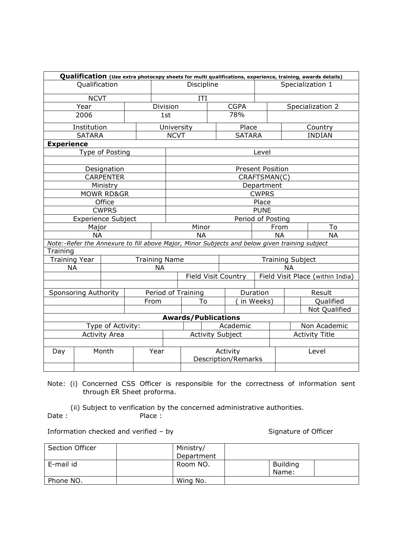|                       |                           |                   |  |                      |                                                                                               |                                               |            |  |                                        |                       |                                  |                  |         | Qualification (Use extra photocopy sheets for multi qualifications, experience, training, awards details) |  |
|-----------------------|---------------------------|-------------------|--|----------------------|-----------------------------------------------------------------------------------------------|-----------------------------------------------|------------|--|----------------------------------------|-----------------------|----------------------------------|------------------|---------|-----------------------------------------------------------------------------------------------------------|--|
|                       | Qualification             |                   |  |                      |                                                                                               |                                               | Discipline |  |                                        |                       |                                  | Specialization 1 |         |                                                                                                           |  |
|                       | <b>NCVT</b>               |                   |  |                      |                                                                                               | ΙTΙ                                           |            |  |                                        |                       |                                  |                  |         |                                                                                                           |  |
|                       | Year                      |                   |  | Division             |                                                                                               |                                               |            |  | <b>CGPA</b>                            |                       |                                  |                  |         | Specialization 2                                                                                          |  |
| 2006                  |                           |                   |  | 1st                  | 78%                                                                                           |                                               |            |  |                                        |                       |                                  |                  |         |                                                                                                           |  |
|                       | Institution               |                   |  |                      | University<br>Place                                                                           |                                               |            |  |                                        |                       |                                  |                  | Country |                                                                                                           |  |
|                       | <b>SATARA</b>             |                   |  |                      |                                                                                               | <b>NCVT</b><br><b>SATARA</b><br><b>INDIAN</b> |            |  |                                        |                       |                                  |                  |         |                                                                                                           |  |
| <b>Experience</b>     |                           |                   |  |                      |                                                                                               |                                               |            |  |                                        |                       |                                  |                  |         |                                                                                                           |  |
|                       |                           | Type of Posting   |  |                      |                                                                                               |                                               |            |  |                                        | Level                 |                                  |                  |         |                                                                                                           |  |
|                       |                           | Designation       |  |                      | <b>Present Position</b>                                                                       |                                               |            |  |                                        |                       |                                  |                  |         |                                                                                                           |  |
|                       |                           | <b>CARPENTER</b>  |  |                      |                                                                                               |                                               |            |  |                                        | CRAFTSMAN(C)          |                                  |                  |         |                                                                                                           |  |
|                       |                           | Ministry          |  |                      |                                                                                               |                                               |            |  |                                        | Department            |                                  |                  |         |                                                                                                           |  |
| <b>MOWR RD&amp;GR</b> |                           |                   |  |                      | <b>CWPRS</b>                                                                                  |                                               |            |  |                                        |                       |                                  |                  |         |                                                                                                           |  |
| Office                |                           |                   |  |                      |                                                                                               | Place                                         |            |  |                                        |                       |                                  |                  |         |                                                                                                           |  |
| <b>CWPRS</b>          |                           |                   |  |                      |                                                                                               | <b>PUNE</b>                                   |            |  |                                        |                       |                                  |                  |         |                                                                                                           |  |
|                       | <b>Experience Subject</b> |                   |  |                      | Period of Posting                                                                             |                                               |            |  |                                        |                       |                                  |                  |         |                                                                                                           |  |
|                       | Major                     |                   |  |                      | Minor                                                                                         |                                               |            |  |                                        |                       | From                             | To               |         |                                                                                                           |  |
|                       | <b>NA</b>                 |                   |  |                      | <b>NA</b><br><b>NA</b>                                                                        |                                               |            |  |                                        |                       | <b>NA</b>                        |                  |         |                                                                                                           |  |
|                       |                           |                   |  |                      | Note:-Refer the Annexure to fill above Major, Minor Subjects and below given training subject |                                               |            |  |                                        |                       |                                  |                  |         |                                                                                                           |  |
| Training              |                           |                   |  |                      |                                                                                               |                                               |            |  |                                        |                       |                                  |                  |         |                                                                                                           |  |
| <b>Training Year</b>  |                           |                   |  | <b>Training Name</b> | <b>Training Subject</b>                                                                       |                                               |            |  |                                        |                       |                                  |                  |         |                                                                                                           |  |
| <b>NA</b>             |                           |                   |  | <b>NA</b>            |                                                                                               |                                               |            |  |                                        |                       | <b>NA</b>                        |                  |         |                                                                                                           |  |
|                       |                           |                   |  |                      |                                                                                               | Field Visit Country                           |            |  |                                        |                       | Field Visit Place (within India) |                  |         |                                                                                                           |  |
|                       | Sponsoring Authority      |                   |  |                      |                                                                                               | Duration<br>Period of Training                |            |  |                                        |                       | Result                           |                  |         |                                                                                                           |  |
|                       |                           |                   |  | From                 |                                                                                               | To                                            |            |  | in Weeks)                              |                       |                                  |                  |         | Qualified                                                                                                 |  |
|                       |                           |                   |  |                      |                                                                                               |                                               |            |  |                                        |                       |                                  |                  |         | Not Qualified                                                                                             |  |
|                       |                           |                   |  |                      |                                                                                               | <b>Awards/Publications</b>                    |            |  |                                        |                       |                                  |                  |         |                                                                                                           |  |
|                       |                           | Type of Activity: |  |                      |                                                                                               |                                               |            |  | Academic                               |                       |                                  | Non Academic     |         |                                                                                                           |  |
| <b>Activity Area</b>  |                           |                   |  |                      | <b>Activity Subject</b>                                                                       |                                               |            |  |                                        | <b>Activity Title</b> |                                  |                  |         |                                                                                                           |  |
|                       |                           |                   |  |                      |                                                                                               |                                               |            |  |                                        |                       |                                  |                  |         |                                                                                                           |  |
| Day                   |                           | Month             |  | Year                 |                                                                                               |                                               |            |  | Activity<br><b>Description/Remarks</b> |                       |                                  | Level            |         |                                                                                                           |  |
|                       |                           |                   |  |                      |                                                                                               |                                               |            |  |                                        |                       |                                  |                  |         |                                                                                                           |  |

Note: (i) Concerned CSS Officer is responsible for the correctness of information sent through ER Sheet proforma.

(ii) Subject to verification by the concerned administrative authorities.<br>
Place: Place :

Information checked and verified – by Signature of Officer

| Section Officer | Ministry/  |                          |  |
|-----------------|------------|--------------------------|--|
|                 | Department |                          |  |
| E-mail id       | Room NO.   | <b>Building</b><br>Name: |  |
| Phone NO.       | Wing No.   |                          |  |